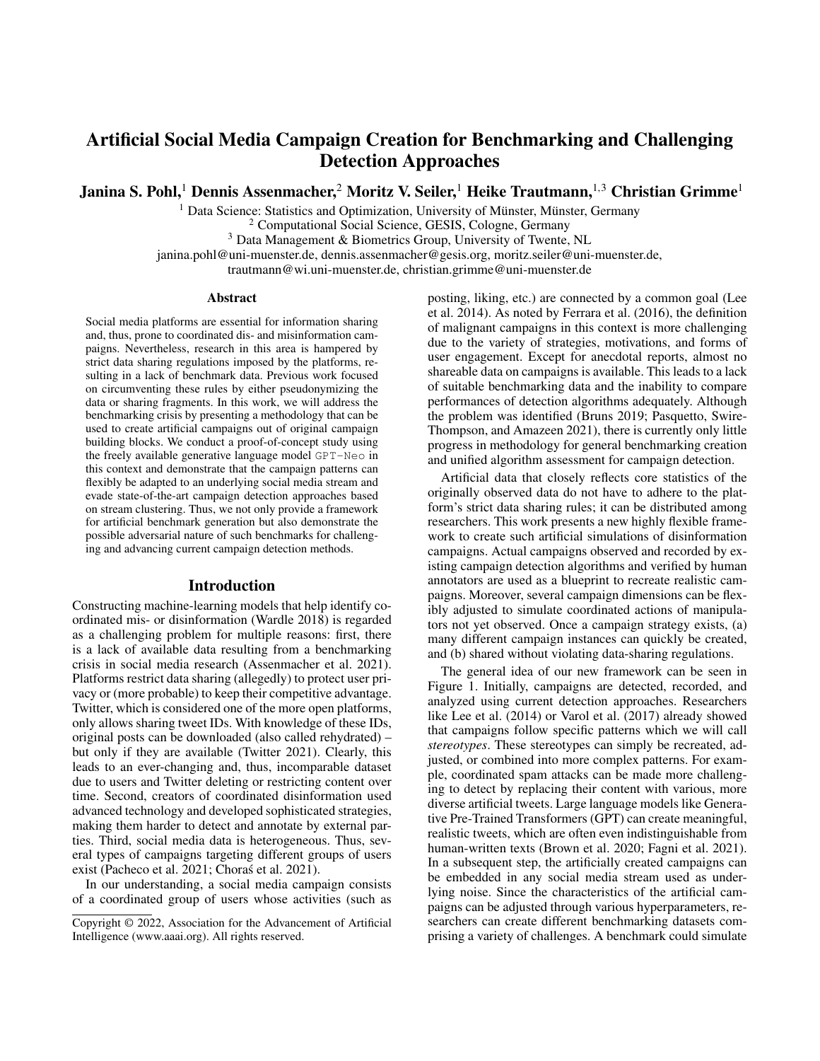# Artificial Social Media Campaign Creation for Benchmarking and Challenging Detection Approaches

Janina S. Pohl,<sup>1</sup> Dennis Assenmacher,<sup>2</sup> Moritz V. Seiler,<sup>1</sup> Heike Trautmann,<sup>1,3</sup> Christian Grimme<sup>1</sup>

 $<sup>1</sup>$  Data Science: Statistics and Optimization, University of Münster, Münster, Germany</sup>

<sup>2</sup> Computational Social Science, GESIS, Cologne, Germany

<sup>3</sup> Data Management & Biometrics Group, University of Twente, NL

janina.pohl@uni-muenster.de, dennis.assenmacher@gesis.org, moritz.seiler@uni-muenster.de,

trautmann@wi.uni-muenster.de, christian.grimme@uni-muenster.de

#### Abstract

Social media platforms are essential for information sharing and, thus, prone to coordinated dis- and misinformation campaigns. Nevertheless, research in this area is hampered by strict data sharing regulations imposed by the platforms, resulting in a lack of benchmark data. Previous work focused on circumventing these rules by either pseudonymizing the data or sharing fragments. In this work, we will address the benchmarking crisis by presenting a methodology that can be used to create artificial campaigns out of original campaign building blocks. We conduct a proof-of-concept study using the freely available generative language model GPT-Neo in this context and demonstrate that the campaign patterns can flexibly be adapted to an underlying social media stream and evade state-of-the-art campaign detection approaches based on stream clustering. Thus, we not only provide a framework for artificial benchmark generation but also demonstrate the possible adversarial nature of such benchmarks for challenging and advancing current campaign detection methods.

## Introduction

Constructing machine-learning models that help identify coordinated mis- or disinformation (Wardle 2018) is regarded as a challenging problem for multiple reasons: first, there is a lack of available data resulting from a benchmarking crisis in social media research (Assenmacher et al. 2021). Platforms restrict data sharing (allegedly) to protect user privacy or (more probable) to keep their competitive advantage. Twitter, which is considered one of the more open platforms, only allows sharing tweet IDs. With knowledge of these IDs, original posts can be downloaded (also called rehydrated) – but only if they are available (Twitter 2021). Clearly, this leads to an ever-changing and, thus, incomparable dataset due to users and Twitter deleting or restricting content over time. Second, creators of coordinated disinformation used advanced technology and developed sophisticated strategies, making them harder to detect and annotate by external parties. Third, social media data is heterogeneous. Thus, several types of campaigns targeting different groups of users exist (Pacheco et al. 2021; Choras et al. 2021).

In our understanding, a social media campaign consists of a coordinated group of users whose activities (such as posting, liking, etc.) are connected by a common goal (Lee et al. 2014). As noted by Ferrara et al. (2016), the definition of malignant campaigns in this context is more challenging due to the variety of strategies, motivations, and forms of user engagement. Except for anecdotal reports, almost no shareable data on campaigns is available. This leads to a lack of suitable benchmarking data and the inability to compare performances of detection algorithms adequately. Although the problem was identified (Bruns 2019; Pasquetto, Swire-Thompson, and Amazeen 2021), there is currently only little progress in methodology for general benchmarking creation and unified algorithm assessment for campaign detection.

Artificial data that closely reflects core statistics of the originally observed data do not have to adhere to the platform's strict data sharing rules; it can be distributed among researchers. This work presents a new highly flexible framework to create such artificial simulations of disinformation campaigns. Actual campaigns observed and recorded by existing campaign detection algorithms and verified by human annotators are used as a blueprint to recreate realistic campaigns. Moreover, several campaign dimensions can be flexibly adjusted to simulate coordinated actions of manipulators not yet observed. Once a campaign strategy exists, (a) many different campaign instances can quickly be created, and (b) shared without violating data-sharing regulations.

The general idea of our new framework can be seen in Figure 1. Initially, campaigns are detected, recorded, and analyzed using current detection approaches. Researchers like Lee et al. (2014) or Varol et al. (2017) already showed that campaigns follow specific patterns which we will call *stereotypes*. These stereotypes can simply be recreated, adjusted, or combined into more complex patterns. For example, coordinated spam attacks can be made more challenging to detect by replacing their content with various, more diverse artificial tweets. Large language models like Generative Pre-Trained Transformers (GPT) can create meaningful, realistic tweets, which are often even indistinguishable from human-written texts (Brown et al. 2020; Fagni et al. 2021). In a subsequent step, the artificially created campaigns can be embedded in any social media stream used as underlying noise. Since the characteristics of the artificial campaigns can be adjusted through various hyperparameters, researchers can create different benchmarking datasets comprising a variety of challenges. A benchmark could simulate

Copyright © 2022, Association for the Advancement of Artificial Intelligence (www.aaai.org). All rights reserved.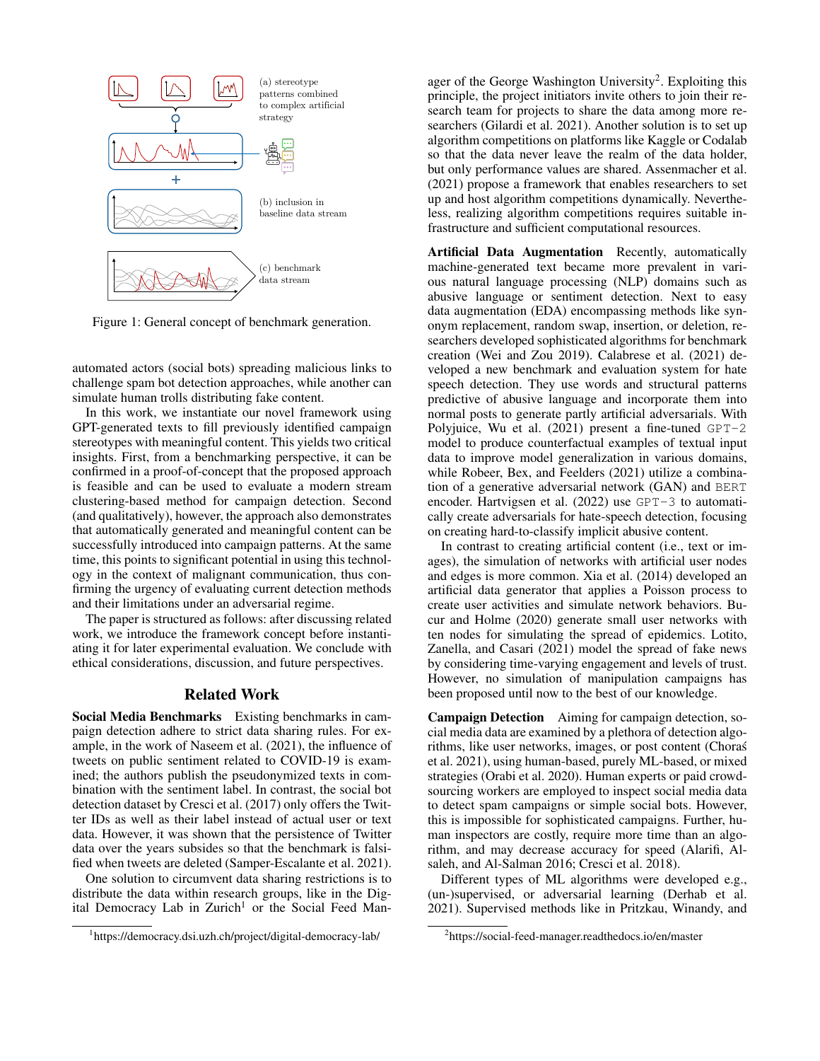

Figure 1: General concept of benchmark generation.

automated actors (social bots) spreading malicious links to challenge spam bot detection approaches, while another can simulate human trolls distributing fake content.

In this work, we instantiate our novel framework using GPT-generated texts to fill previously identified campaign stereotypes with meaningful content. This yields two critical insights. First, from a benchmarking perspective, it can be confirmed in a proof-of-concept that the proposed approach is feasible and can be used to evaluate a modern stream clustering-based method for campaign detection. Second (and qualitatively), however, the approach also demonstrates that automatically generated and meaningful content can be successfully introduced into campaign patterns. At the same time, this points to significant potential in using this technology in the context of malignant communication, thus confirming the urgency of evaluating current detection methods and their limitations under an adversarial regime.

The paper is structured as follows: after discussing related work, we introduce the framework concept before instantiating it for later experimental evaluation. We conclude with ethical considerations, discussion, and future perspectives.

#### Related Work

Social Media Benchmarks Existing benchmarks in campaign detection adhere to strict data sharing rules. For example, in the work of Naseem et al. (2021), the influence of tweets on public sentiment related to COVID-19 is examined; the authors publish the pseudonymized texts in combination with the sentiment label. In contrast, the social bot detection dataset by Cresci et al. (2017) only offers the Twitter IDs as well as their label instead of actual user or text data. However, it was shown that the persistence of Twitter data over the years subsides so that the benchmark is falsified when tweets are deleted (Samper-Escalante et al. 2021).

One solution to circumvent data sharing restrictions is to distribute the data within research groups, like in the Digital Democracy Lab in Zurich<sup>1</sup> or the Social Feed Man-

ager of the George Washington University<sup>2</sup>. Exploiting this principle, the project initiators invite others to join their research team for projects to share the data among more researchers (Gilardi et al. 2021). Another solution is to set up algorithm competitions on platforms like Kaggle or Codalab so that the data never leave the realm of the data holder, but only performance values are shared. Assenmacher et al. (2021) propose a framework that enables researchers to set up and host algorithm competitions dynamically. Nevertheless, realizing algorithm competitions requires suitable infrastructure and sufficient computational resources.

Artificial Data Augmentation Recently, automatically machine-generated text became more prevalent in various natural language processing (NLP) domains such as abusive language or sentiment detection. Next to easy data augmentation (EDA) encompassing methods like synonym replacement, random swap, insertion, or deletion, researchers developed sophisticated algorithms for benchmark creation (Wei and Zou 2019). Calabrese et al. (2021) developed a new benchmark and evaluation system for hate speech detection. They use words and structural patterns predictive of abusive language and incorporate them into normal posts to generate partly artificial adversarials. With Polyjuice, Wu et al.  $(2021)$  present a fine-tuned GPT-2 model to produce counterfactual examples of textual input data to improve model generalization in various domains, while Robeer, Bex, and Feelders (2021) utilize a combination of a generative adversarial network (GAN) and BERT encoder. Hartvigsen et al. (2022) use GPT-3 to automatically create adversarials for hate-speech detection, focusing on creating hard-to-classify implicit abusive content.

In contrast to creating artificial content (i.e., text or images), the simulation of networks with artificial user nodes and edges is more common. Xia et al. (2014) developed an artificial data generator that applies a Poisson process to create user activities and simulate network behaviors. Bucur and Holme (2020) generate small user networks with ten nodes for simulating the spread of epidemics. Lotito, Zanella, and Casari (2021) model the spread of fake news by considering time-varying engagement and levels of trust. However, no simulation of manipulation campaigns has been proposed until now to the best of our knowledge.

Campaign Detection Aiming for campaign detection, social media data are examined by a plethora of detection algorithms, like user networks, images, or post content (Choras´ et al. 2021), using human-based, purely ML-based, or mixed strategies (Orabi et al. 2020). Human experts or paid crowdsourcing workers are employed to inspect social media data to detect spam campaigns or simple social bots. However, this is impossible for sophisticated campaigns. Further, human inspectors are costly, require more time than an algorithm, and may decrease accuracy for speed (Alarifi, Alsaleh, and Al-Salman 2016; Cresci et al. 2018).

Different types of ML algorithms were developed e.g., (un-)supervised, or adversarial learning (Derhab et al. 2021). Supervised methods like in Pritzkau, Winandy, and

<sup>1</sup> https://democracy.dsi.uzh.ch/project/digital-democracy-lab/

<sup>2</sup> https://social-feed-manager.readthedocs.io/en/master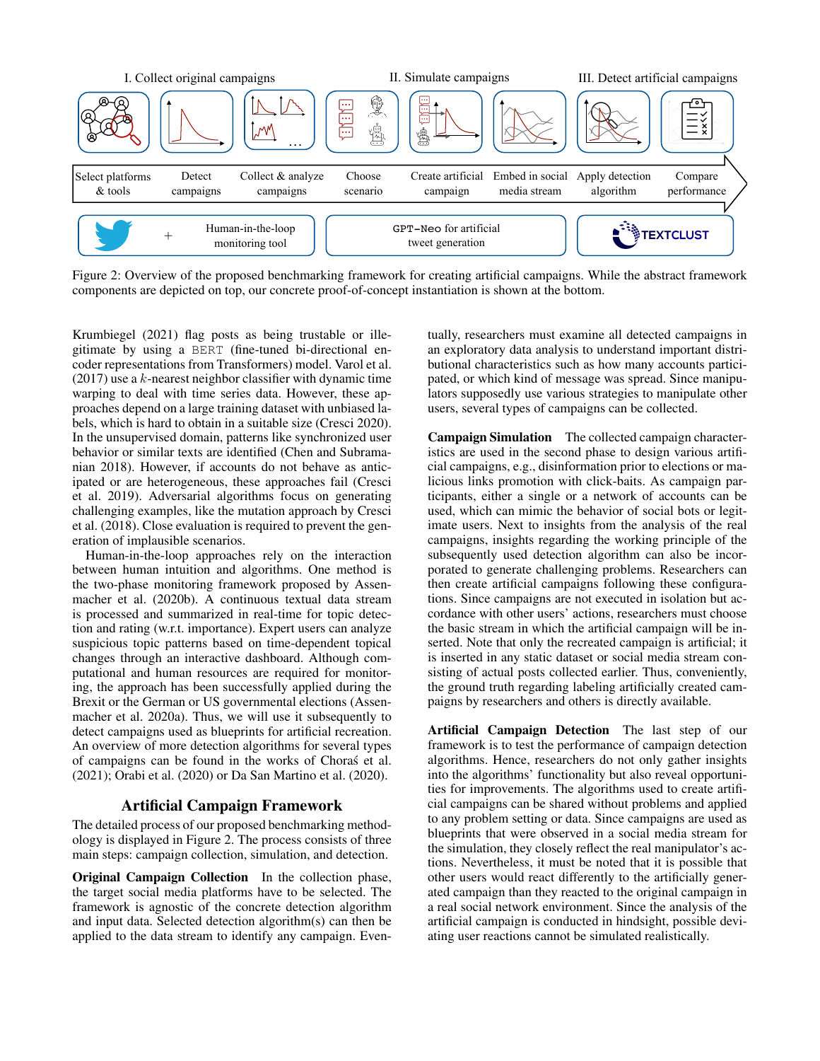

Figure 2: Overview of the proposed benchmarking framework for creating artificial campaigns. While the abstract framework components are depicted on top, our concrete proof-of-concept instantiation is shown at the bottom.

Krumbiegel (2021) flag posts as being trustable or illegitimate by using a BERT (fine-tuned bi-directional encoder representations from Transformers) model. Varol et al.  $(2017)$  use a k-nearest neighbor classifier with dynamic time warping to deal with time series data. However, these approaches depend on a large training dataset with unbiased labels, which is hard to obtain in a suitable size (Cresci 2020). In the unsupervised domain, patterns like synchronized user behavior or similar texts are identified (Chen and Subramanian 2018). However, if accounts do not behave as anticipated or are heterogeneous, these approaches fail (Cresci et al. 2019). Adversarial algorithms focus on generating challenging examples, like the mutation approach by Cresci et al. (2018). Close evaluation is required to prevent the generation of implausible scenarios.

Human-in-the-loop approaches rely on the interaction between human intuition and algorithms. One method is the two-phase monitoring framework proposed by Assenmacher et al. (2020b). A continuous textual data stream is processed and summarized in real-time for topic detection and rating (w.r.t. importance). Expert users can analyze suspicious topic patterns based on time-dependent topical changes through an interactive dashboard. Although computational and human resources are required for monitoring, the approach has been successfully applied during the Brexit or the German or US governmental elections (Assenmacher et al. 2020a). Thus, we will use it subsequently to detect campaigns used as blueprints for artificial recreation. An overview of more detection algorithms for several types of campaigns can be found in the works of Choras et al. ´ (2021); Orabi et al. (2020) or Da San Martino et al. (2020).

#### Artificial Campaign Framework

The detailed process of our proposed benchmarking methodology is displayed in Figure 2. The process consists of three main steps: campaign collection, simulation, and detection.

Original Campaign Collection In the collection phase, the target social media platforms have to be selected. The framework is agnostic of the concrete detection algorithm and input data. Selected detection algorithm(s) can then be applied to the data stream to identify any campaign. Eventually, researchers must examine all detected campaigns in an exploratory data analysis to understand important distributional characteristics such as how many accounts participated, or which kind of message was spread. Since manipulators supposedly use various strategies to manipulate other users, several types of campaigns can be collected.

Campaign Simulation The collected campaign characteristics are used in the second phase to design various artificial campaigns, e.g., disinformation prior to elections or malicious links promotion with click-baits. As campaign participants, either a single or a network of accounts can be used, which can mimic the behavior of social bots or legitimate users. Next to insights from the analysis of the real campaigns, insights regarding the working principle of the subsequently used detection algorithm can also be incorporated to generate challenging problems. Researchers can then create artificial campaigns following these configurations. Since campaigns are not executed in isolation but accordance with other users' actions, researchers must choose the basic stream in which the artificial campaign will be inserted. Note that only the recreated campaign is artificial; it is inserted in any static dataset or social media stream consisting of actual posts collected earlier. Thus, conveniently, the ground truth regarding labeling artificially created campaigns by researchers and others is directly available.

Artificial Campaign Detection The last step of our framework is to test the performance of campaign detection algorithms. Hence, researchers do not only gather insights into the algorithms' functionality but also reveal opportunities for improvements. The algorithms used to create artificial campaigns can be shared without problems and applied to any problem setting or data. Since campaigns are used as blueprints that were observed in a social media stream for the simulation, they closely reflect the real manipulator's actions. Nevertheless, it must be noted that it is possible that other users would react differently to the artificially generated campaign than they reacted to the original campaign in a real social network environment. Since the analysis of the artificial campaign is conducted in hindsight, possible deviating user reactions cannot be simulated realistically.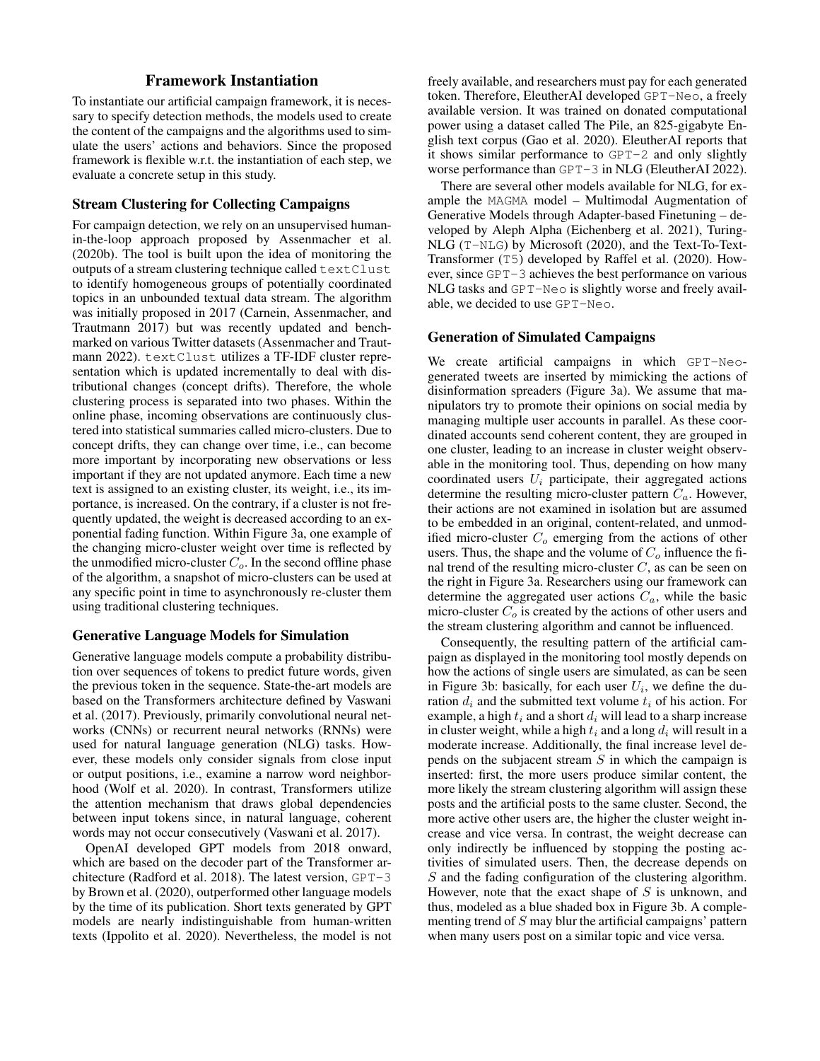# Framework Instantiation

To instantiate our artificial campaign framework, it is necessary to specify detection methods, the models used to create the content of the campaigns and the algorithms used to simulate the users' actions and behaviors. Since the proposed framework is flexible w.r.t. the instantiation of each step, we evaluate a concrete setup in this study.

## Stream Clustering for Collecting Campaigns

For campaign detection, we rely on an unsupervised humanin-the-loop approach proposed by Assenmacher et al. (2020b). The tool is built upon the idea of monitoring the outputs of a stream clustering technique called textClust to identify homogeneous groups of potentially coordinated topics in an unbounded textual data stream. The algorithm was initially proposed in 2017 (Carnein, Assenmacher, and Trautmann 2017) but was recently updated and benchmarked on various Twitter datasets (Assenmacher and Trautmann 2022). textClust utilizes a TF-IDF cluster representation which is updated incrementally to deal with distributional changes (concept drifts). Therefore, the whole clustering process is separated into two phases. Within the online phase, incoming observations are continuously clustered into statistical summaries called micro-clusters. Due to concept drifts, they can change over time, i.e., can become more important by incorporating new observations or less important if they are not updated anymore. Each time a new text is assigned to an existing cluster, its weight, i.e., its importance, is increased. On the contrary, if a cluster is not frequently updated, the weight is decreased according to an exponential fading function. Within Figure 3a, one example of the changing micro-cluster weight over time is reflected by the unmodified micro-cluster  $C<sub>o</sub>$ . In the second offline phase of the algorithm, a snapshot of micro-clusters can be used at any specific point in time to asynchronously re-cluster them using traditional clustering techniques.

#### Generative Language Models for Simulation

Generative language models compute a probability distribution over sequences of tokens to predict future words, given the previous token in the sequence. State-the-art models are based on the Transformers architecture defined by Vaswani et al. (2017). Previously, primarily convolutional neural networks (CNNs) or recurrent neural networks (RNNs) were used for natural language generation (NLG) tasks. However, these models only consider signals from close input or output positions, i.e., examine a narrow word neighborhood (Wolf et al. 2020). In contrast, Transformers utilize the attention mechanism that draws global dependencies between input tokens since, in natural language, coherent words may not occur consecutively (Vaswani et al. 2017).

OpenAI developed GPT models from 2018 onward, which are based on the decoder part of the Transformer architecture (Radford et al. 2018). The latest version, GPT-3 by Brown et al. (2020), outperformed other language models by the time of its publication. Short texts generated by GPT models are nearly indistinguishable from human-written texts (Ippolito et al. 2020). Nevertheless, the model is not

freely available, and researchers must pay for each generated token. Therefore, EleutherAI developed GPT-Neo, a freely available version. It was trained on donated computational power using a dataset called The Pile, an 825-gigabyte English text corpus (Gao et al. 2020). EleutherAI reports that it shows similar performance to GPT-2 and only slightly worse performance than GPT-3 in NLG (EleutherAI 2022).

There are several other models available for NLG, for example the MAGMA model – Multimodal Augmentation of Generative Models through Adapter-based Finetuning – developed by Aleph Alpha (Eichenberg et al. 2021), Turing-NLG (T-NLG) by Microsoft (2020), and the Text-To-Text-Transformer (T5) developed by Raffel et al. (2020). However, since GPT-3 achieves the best performance on various NLG tasks and GPT-Neo is slightly worse and freely available, we decided to use GPT-Neo.

## Generation of Simulated Campaigns

We create artificial campaigns in which GPT-Neogenerated tweets are inserted by mimicking the actions of disinformation spreaders (Figure 3a). We assume that manipulators try to promote their opinions on social media by managing multiple user accounts in parallel. As these coordinated accounts send coherent content, they are grouped in one cluster, leading to an increase in cluster weight observable in the monitoring tool. Thus, depending on how many coordinated users  $U_i$  participate, their aggregated actions determine the resulting micro-cluster pattern  $C_a$ . However, their actions are not examined in isolation but are assumed to be embedded in an original, content-related, and unmodified micro-cluster  $C<sub>o</sub>$  emerging from the actions of other users. Thus, the shape and the volume of  $C<sub>o</sub>$  influence the final trend of the resulting micro-cluster  $C$ , as can be seen on the right in Figure 3a. Researchers using our framework can determine the aggregated user actions  $C_a$ , while the basic micro-cluster  $C<sub>o</sub>$  is created by the actions of other users and the stream clustering algorithm and cannot be influenced.

Consequently, the resulting pattern of the artificial campaign as displayed in the monitoring tool mostly depends on how the actions of single users are simulated, as can be seen in Figure 3b: basically, for each user  $U_i$ , we define the duration  $d_i$  and the submitted text volume  $t_i$  of his action. For example, a high  $t_i$  and a short  $d_i$  will lead to a sharp increase in cluster weight, while a high  $t_i$  and a long  $d_i$  will result in a moderate increase. Additionally, the final increase level depends on the subjacent stream  $S$  in which the campaign is inserted: first, the more users produce similar content, the more likely the stream clustering algorithm will assign these posts and the artificial posts to the same cluster. Second, the more active other users are, the higher the cluster weight increase and vice versa. In contrast, the weight decrease can only indirectly be influenced by stopping the posting activities of simulated users. Then, the decrease depends on S and the fading configuration of the clustering algorithm. However, note that the exact shape of  $S$  is unknown, and thus, modeled as a blue shaded box in Figure 3b. A complementing trend of S may blur the artificial campaigns' pattern when many users post on a similar topic and vice versa.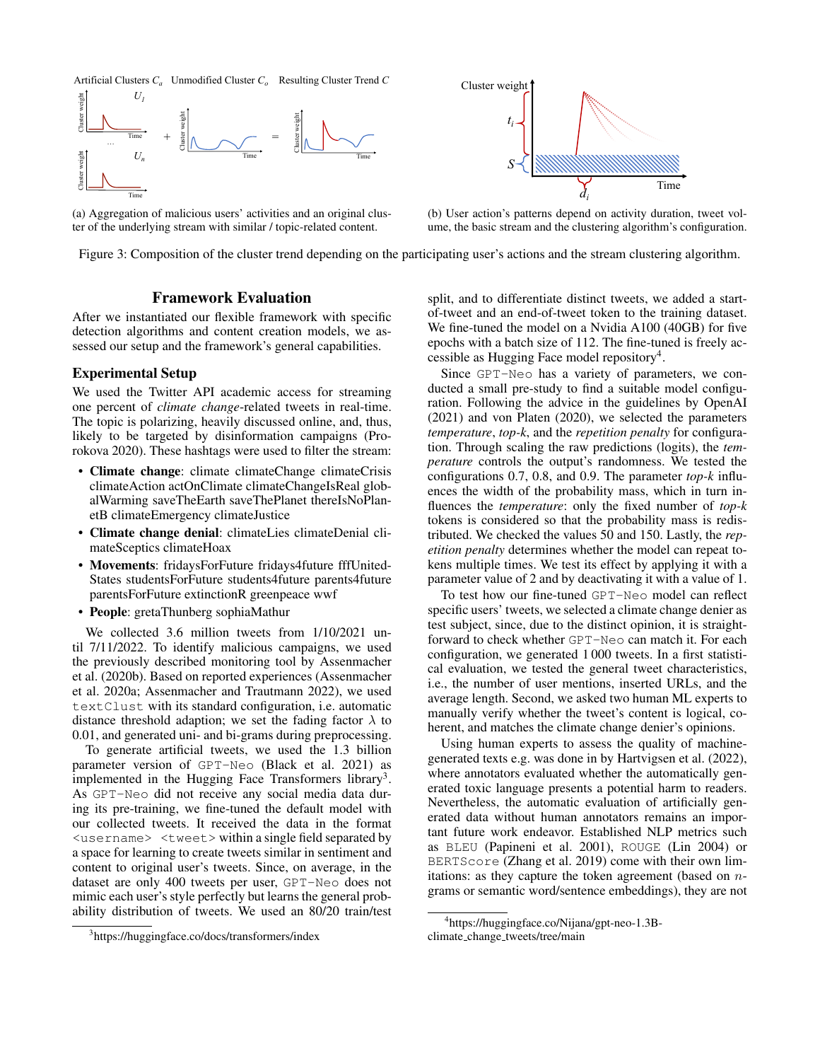



(a) Aggregation of malicious users' activities and an original cluster of the underlying stream with similar / topic-related content.



(b) User action's patterns depend on activity duration, tweet volume, the basic stream and the clustering algorithm's configuration.

Figure 3: Composition of the cluster trend depending on the participating user's actions and the stream clustering algorithm.

# Framework Evaluation

After we instantiated our flexible framework with specific detection algorithms and content creation models, we assessed our setup and the framework's general capabilities.

#### Experimental Setup

We used the Twitter API academic access for streaming one percent of *climate change*-related tweets in real-time. The topic is polarizing, heavily discussed online, and, thus, likely to be targeted by disinformation campaigns (Prorokova 2020). These hashtags were used to filter the stream:

- Climate change: climate climateChange climateCrisis climateAction actOnClimate climateChangeIsReal globalWarming saveTheEarth saveThePlanet thereIsNoPlanetB climateEmergency climateJustice
- Climate change denial: climateLies climateDenial climateSceptics climateHoax
- Movements: fridaysForFuture fridays4future fffUnited-States studentsForFuture students4future parents4future parentsForFuture extinctionR greenpeace wwf
- People: gretaThunberg sophiaMathur

We collected 3.6 million tweets from 1/10/2021 until 7/11/2022. To identify malicious campaigns, we used the previously described monitoring tool by Assenmacher et al. (2020b). Based on reported experiences (Assenmacher et al. 2020a; Assenmacher and Trautmann 2022), we used textClust with its standard configuration, i.e. automatic distance threshold adaption; we set the fading factor  $\lambda$  to 0.01, and generated uni- and bi-grams during preprocessing.

To generate artificial tweets, we used the 1.3 billion parameter version of GPT-Neo (Black et al. 2021) as implemented in the Hugging Face Transformers library<sup>3</sup>. As GPT-Neo did not receive any social media data during its pre-training, we fine-tuned the default model with our collected tweets. It received the data in the format <username> <tweet> within a single field separated by a space for learning to create tweets similar in sentiment and content to original user's tweets. Since, on average, in the dataset are only 400 tweets per user, GPT-Neo does not mimic each user's style perfectly but learns the general probability distribution of tweets. We used an 80/20 train/test

split, and to differentiate distinct tweets, we added a startof-tweet and an end-of-tweet token to the training dataset. We fine-tuned the model on a Nvidia A100 (40GB) for five epochs with a batch size of 112. The fine-tuned is freely accessible as Hugging Face model repository<sup>4</sup>.

Since GPT-Neo has a variety of parameters, we conducted a small pre-study to find a suitable model configuration. Following the advice in the guidelines by OpenAI (2021) and von Platen (2020), we selected the parameters *temperature*, *top-k*, and the *repetition penalty* for configuration. Through scaling the raw predictions (logits), the *temperature* controls the output's randomness. We tested the configurations 0.7, 0.8, and 0.9. The parameter *top-k* influences the width of the probability mass, which in turn influences the *temperature*: only the fixed number of *top-k* tokens is considered so that the probability mass is redistributed. We checked the values 50 and 150. Lastly, the *repetition penalty* determines whether the model can repeat tokens multiple times. We test its effect by applying it with a parameter value of 2 and by deactivating it with a value of 1.

To test how our fine-tuned GPT-Neo model can reflect specific users' tweets, we selected a climate change denier as test subject, since, due to the distinct opinion, it is straightforward to check whether GPT-Neo can match it. For each configuration, we generated 1 000 tweets. In a first statistical evaluation, we tested the general tweet characteristics, i.e., the number of user mentions, inserted URLs, and the average length. Second, we asked two human ML experts to manually verify whether the tweet's content is logical, coherent, and matches the climate change denier's opinions.

Using human experts to assess the quality of machinegenerated texts e.g. was done in by Hartvigsen et al. (2022), where annotators evaluated whether the automatically generated toxic language presents a potential harm to readers. Nevertheless, the automatic evaluation of artificially generated data without human annotators remains an important future work endeavor. Established NLP metrics such as BLEU (Papineni et al. 2001), ROUGE (Lin 2004) or BERTScore (Zhang et al. 2019) come with their own limitations: as they capture the token agreement (based on  $n$ grams or semantic word/sentence embeddings), they are not

<sup>3</sup> https://huggingface.co/docs/transformers/index

<sup>4</sup> https://huggingface.co/Nijana/gpt-neo-1.3B-

climate\_change\_tweets/tree/main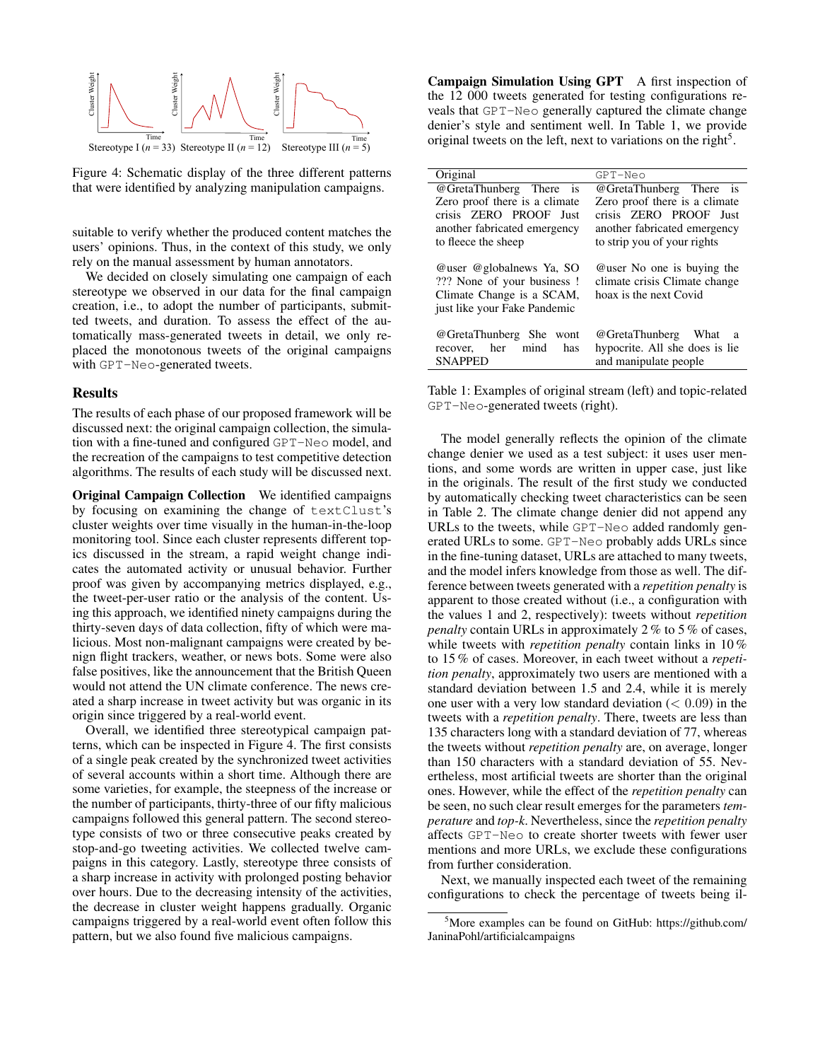

Figure 4: Schematic display of the three different patterns that were identified by analyzing manipulation campaigns.

suitable to verify whether the produced content matches the users' opinions. Thus, in the context of this study, we only rely on the manual assessment by human annotators.

We decided on closely simulating one campaign of each stereotype we observed in our data for the final campaign creation, i.e., to adopt the number of participants, submitted tweets, and duration. To assess the effect of the automatically mass-generated tweets in detail, we only replaced the monotonous tweets of the original campaigns with GPT-Neo-generated tweets.

#### Results

The results of each phase of our proposed framework will be discussed next: the original campaign collection, the simulation with a fine-tuned and configured GPT-Neo model, and the recreation of the campaigns to test competitive detection algorithms. The results of each study will be discussed next.

Original Campaign Collection We identified campaigns by focusing on examining the change of textClust's cluster weights over time visually in the human-in-the-loop monitoring tool. Since each cluster represents different topics discussed in the stream, a rapid weight change indicates the automated activity or unusual behavior. Further proof was given by accompanying metrics displayed, e.g., the tweet-per-user ratio or the analysis of the content. Using this approach, we identified ninety campaigns during the thirty-seven days of data collection, fifty of which were malicious. Most non-malignant campaigns were created by benign flight trackers, weather, or news bots. Some were also false positives, like the announcement that the British Queen would not attend the UN climate conference. The news created a sharp increase in tweet activity but was organic in its origin since triggered by a real-world event.

Overall, we identified three stereotypical campaign patterns, which can be inspected in Figure 4. The first consists of a single peak created by the synchronized tweet activities of several accounts within a short time. Although there are some varieties, for example, the steepness of the increase or the number of participants, thirty-three of our fifty malicious campaigns followed this general pattern. The second stereotype consists of two or three consecutive peaks created by stop-and-go tweeting activities. We collected twelve campaigns in this category. Lastly, stereotype three consists of a sharp increase in activity with prolonged posting behavior over hours. Due to the decreasing intensity of the activities, the decrease in cluster weight happens gradually. Organic campaigns triggered by a real-world event often follow this pattern, but we also found five malicious campaigns.

Campaign Simulation Using GPT A first inspection of the 12 000 tweets generated for testing configurations reveals that GPT-Neo generally captured the climate change denier's style and sentiment well. In Table 1, we provide original tweets on the left, next to variations on the right<sup>5</sup>.

| Original                                                                                                            | GPT-Neo                                                                                                                |  |
|---------------------------------------------------------------------------------------------------------------------|------------------------------------------------------------------------------------------------------------------------|--|
| @GretaThunberg There<br><b>1S</b>                                                                                   | @GretaThunberg There<br><b>1S</b>                                                                                      |  |
| Zero proof there is a climate<br>crisis ZERO PROOF Just<br>another fabricated emergency<br>to fleece the sheep      | Zero proof there is a climate<br>crisis ZERO PROOF Just<br>another fabricated emergency<br>to strip you of your rights |  |
| @user @globalnews Ya, SO<br>??? None of your business!<br>Climate Change is a SCAM,<br>just like your Fake Pandemic | Quier No one is buying the<br>climate crisis Climate change<br>hoax is the next Covid                                  |  |
| @GretaThunberg She<br>wont<br>mind<br>her<br>has<br>recover,<br><b>SNAPPED</b>                                      | @GretaThunberg<br>What<br>a<br>hypocrite. All she does is lie<br>and manipulate people                                 |  |

Table 1: Examples of original stream (left) and topic-related GPT-Neo-generated tweets (right).

The model generally reflects the opinion of the climate change denier we used as a test subject: it uses user mentions, and some words are written in upper case, just like in the originals. The result of the first study we conducted by automatically checking tweet characteristics can be seen in Table 2. The climate change denier did not append any URLs to the tweets, while GPT-Neo added randomly generated URLs to some. GPT-Neo probably adds URLs since in the fine-tuning dataset, URLs are attached to many tweets, and the model infers knowledge from those as well. The difference between tweets generated with a *repetition penalty* is apparent to those created without (i.e., a configuration with the values 1 and 2, respectively): tweets without *repetition penalty* contain URLs in approximately 2 % to 5 % of cases, while tweets with *repetition penalty* contain links in 10 % to 15 % of cases. Moreover, in each tweet without a *repetition penalty*, approximately two users are mentioned with a standard deviation between 1.5 and 2.4, while it is merely one user with a very low standard deviation  $(< 0.09)$  in the tweets with a *repetition penalty*. There, tweets are less than 135 characters long with a standard deviation of 77, whereas the tweets without *repetition penalty* are, on average, longer than 150 characters with a standard deviation of 55. Nevertheless, most artificial tweets are shorter than the original ones. However, while the effect of the *repetition penalty* can be seen, no such clear result emerges for the parameters *temperature* and *top-k*. Nevertheless, since the *repetition penalty* affects GPT-Neo to create shorter tweets with fewer user mentions and more URLs, we exclude these configurations from further consideration.

Next, we manually inspected each tweet of the remaining configurations to check the percentage of tweets being il-

<sup>5</sup>More examples can be found on GitHub: https://github.com/ JaninaPohl/artificialcampaigns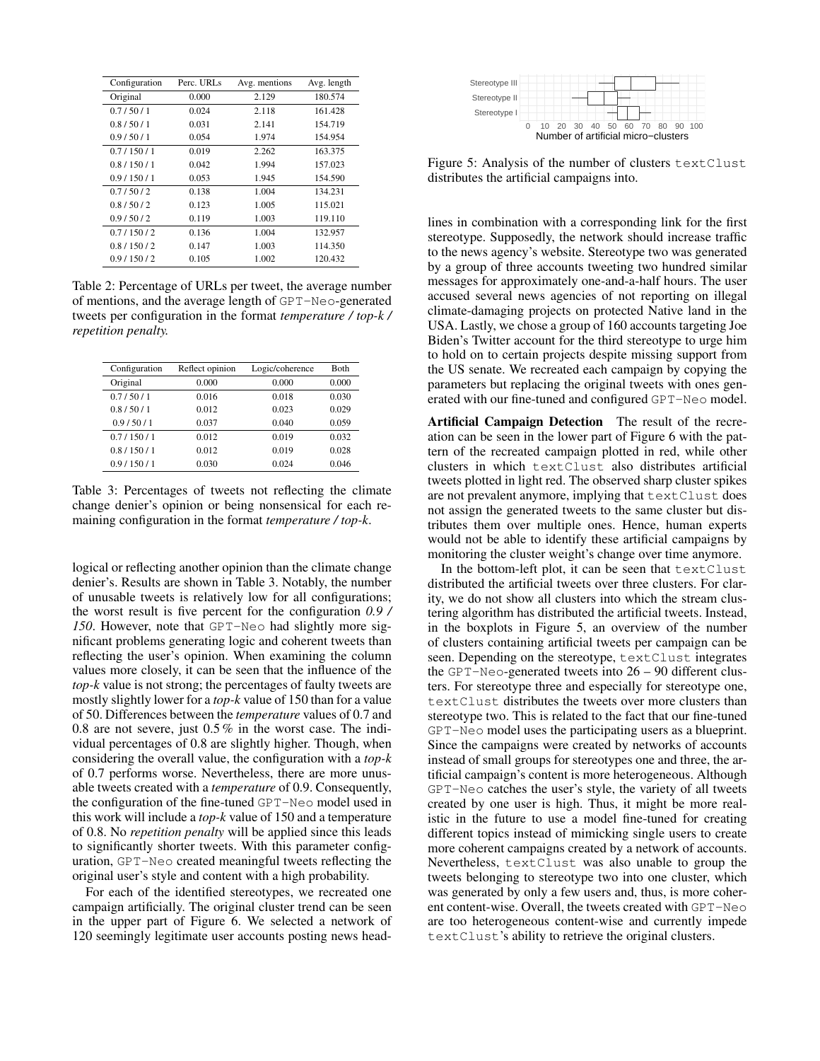| Configuration | Perc. URLs | Avg. mentions | Avg. length |
|---------------|------------|---------------|-------------|
| Original      | 0.000      | 2.129         | 180.574     |
| 0.7/50/1      | 0.024      | 2.118         | 161.428     |
| 0.8/50/1      | 0.031      | 2.141         | 154.719     |
| 0.9/50/1      | 0.054      | 1.974         | 154.954     |
| 0.7/150/1     | 0.019      | 2.262         | 163.375     |
| 0.8/150/1     | 0.042      | 1.994         | 157.023     |
| 0.9/150/1     | 0.053      | 1.945         | 154.590     |
| 0.7/50/2      | 0.138      | 1.004         | 134.231     |
| 0.8/50/2      | 0.123      | 1.005         | 115.021     |
| 0.9/50/2      | 0.119      | 1.003         | 119.110     |
| 0.7/150/2     | 0.136      | 1.004         | 132.957     |
| 0.8/150/2     | 0.147      | 1.003         | 114.350     |
| 0.9/150/2     | 0.105      | 1.002         | 120.432     |

Table 2: Percentage of URLs per tweet, the average number of mentions, and the average length of GPT-Neo-generated tweets per configuration in the format *temperature / top-k / repetition penalty.*

| Configuration | Reflect opinion | Logic/coherence | <b>B</b> oth |
|---------------|-----------------|-----------------|--------------|
| Original      | 0.000           | 0.000           | 0.000        |
| 0.7/50/1      | 0.016           | 0.018           | 0.030        |
| 0.8/50/1      | 0.012           | 0.023           | 0.029        |
| 0.9/50/1      | 0.037           | 0.040           | 0.059        |
| 0.7/150/1     | 0.012           | 0.019           | 0.032        |
| 0.8/150/1     | 0.012           | 0.019           | 0.028        |
| 0.9/150/1     | 0.030           | 0.024           | 0.046        |

Table 3: Percentages of tweets not reflecting the climate change denier's opinion or being nonsensical for each remaining configuration in the format *temperature / top-k*.

logical or reflecting another opinion than the climate change denier's. Results are shown in Table 3. Notably, the number of unusable tweets is relatively low for all configurations; the worst result is five percent for the configuration *0.9 / 150*. However, note that GPT-Neo had slightly more significant problems generating logic and coherent tweets than reflecting the user's opinion. When examining the column values more closely, it can be seen that the influence of the *top-k* value is not strong; the percentages of faulty tweets are mostly slightly lower for a *top-k* value of 150 than for a value of 50. Differences between the *temperature* values of 0.7 and 0.8 are not severe, just 0.5 % in the worst case. The individual percentages of 0.8 are slightly higher. Though, when considering the overall value, the configuration with a *top-k* of 0.7 performs worse. Nevertheless, there are more unusable tweets created with a *temperature* of 0.9. Consequently, the configuration of the fine-tuned GPT-Neo model used in this work will include a *top-k* value of 150 and a temperature of 0.8. No *repetition penalty* will be applied since this leads to significantly shorter tweets. With this parameter configuration, GPT-Neo created meaningful tweets reflecting the original user's style and content with a high probability.

For each of the identified stereotypes, we recreated one campaign artificially. The original cluster trend can be seen in the upper part of Figure 6. We selected a network of 120 seemingly legitimate user accounts posting news head-



Figure 5: Analysis of the number of clusters textClust distributes the artificial campaigns into.

lines in combination with a corresponding link for the first stereotype. Supposedly, the network should increase traffic to the news agency's website. Stereotype two was generated by a group of three accounts tweeting two hundred similar messages for approximately one-and-a-half hours. The user accused several news agencies of not reporting on illegal climate-damaging projects on protected Native land in the USA. Lastly, we chose a group of 160 accounts targeting Joe Biden's Twitter account for the third stereotype to urge him to hold on to certain projects despite missing support from the US senate. We recreated each campaign by copying the parameters but replacing the original tweets with ones generated with our fine-tuned and configured GPT-Neo model.

Artificial Campaign Detection The result of the recreation can be seen in the lower part of Figure 6 with the pattern of the recreated campaign plotted in red, while other clusters in which textClust also distributes artificial tweets plotted in light red. The observed sharp cluster spikes are not prevalent anymore, implying that textClust does not assign the generated tweets to the same cluster but distributes them over multiple ones. Hence, human experts would not be able to identify these artificial campaigns by monitoring the cluster weight's change over time anymore.

In the bottom-left plot, it can be seen that textClust distributed the artificial tweets over three clusters. For clarity, we do not show all clusters into which the stream clustering algorithm has distributed the artificial tweets. Instead, in the boxplots in Figure 5, an overview of the number of clusters containing artificial tweets per campaign can be seen. Depending on the stereotype, textClust integrates the GPT-Neo-generated tweets into 26 – 90 different clusters. For stereotype three and especially for stereotype one, textClust distributes the tweets over more clusters than stereotype two. This is related to the fact that our fine-tuned GPT-Neo model uses the participating users as a blueprint. Since the campaigns were created by networks of accounts instead of small groups for stereotypes one and three, the artificial campaign's content is more heterogeneous. Although GPT-Neo catches the user's style, the variety of all tweets created by one user is high. Thus, it might be more realistic in the future to use a model fine-tuned for creating different topics instead of mimicking single users to create more coherent campaigns created by a network of accounts. Nevertheless, textClust was also unable to group the tweets belonging to stereotype two into one cluster, which was generated by only a few users and, thus, is more coherent content-wise. Overall, the tweets created with GPT-Neo are too heterogeneous content-wise and currently impede textClust's ability to retrieve the original clusters.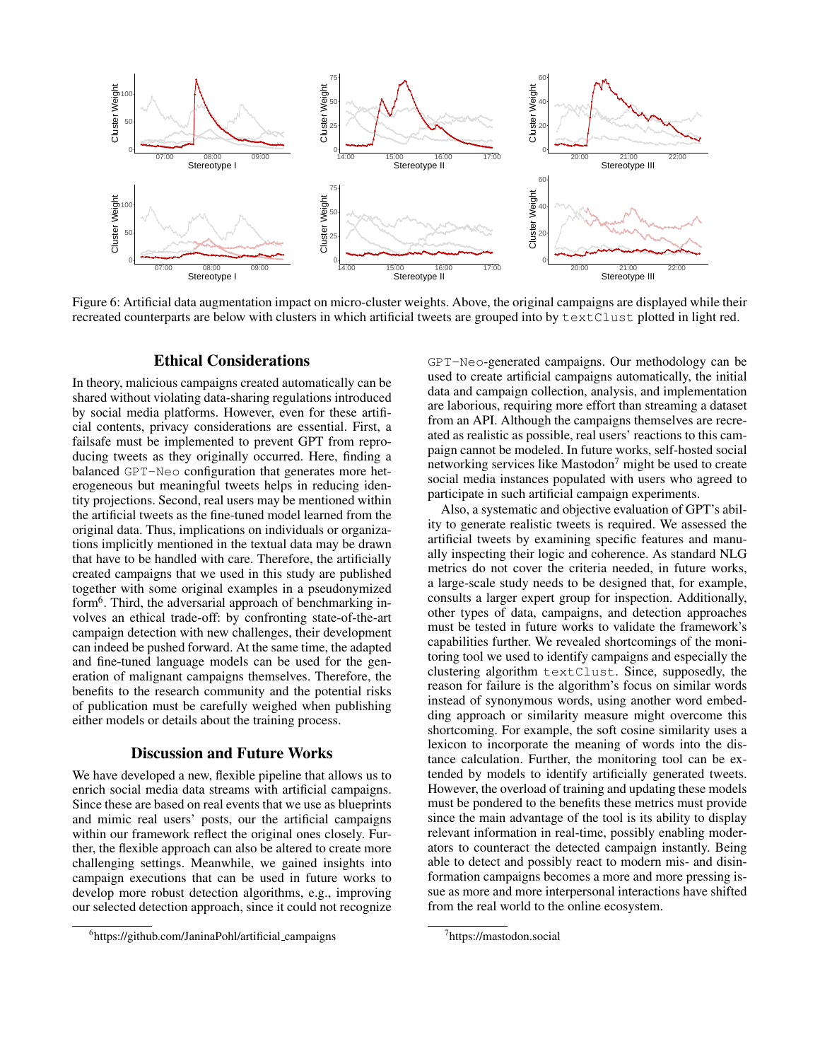

Figure 6: Artificial data augmentation impact on micro-cluster weights. Above, the original campaigns are displayed while their recreated counterparts are below with clusters in which artificial tweets are grouped into by textClust plotted in light red.

## Ethical Considerations

In theory, malicious campaigns created automatically can be shared without violating data-sharing regulations introduced by social media platforms. However, even for these artificial contents, privacy considerations are essential. First, a failsafe must be implemented to prevent GPT from reproducing tweets as they originally occurred. Here, finding a balanced GPT-Neo configuration that generates more heterogeneous but meaningful tweets helps in reducing identity projections. Second, real users may be mentioned within the artificial tweets as the fine-tuned model learned from the original data. Thus, implications on individuals or organizations implicitly mentioned in the textual data may be drawn that have to be handled with care. Therefore, the artificially created campaigns that we used in this study are published together with some original examples in a pseudonymized form<sup>6</sup>. Third, the adversarial approach of benchmarking involves an ethical trade-off: by confronting state-of-the-art campaign detection with new challenges, their development can indeed be pushed forward. At the same time, the adapted and fine-tuned language models can be used for the generation of malignant campaigns themselves. Therefore, the benefits to the research community and the potential risks of publication must be carefully weighed when publishing either models or details about the training process.

#### Discussion and Future Works

We have developed a new, flexible pipeline that allows us to enrich social media data streams with artificial campaigns. Since these are based on real events that we use as blueprints and mimic real users' posts, our the artificial campaigns within our framework reflect the original ones closely. Further, the flexible approach can also be altered to create more challenging settings. Meanwhile, we gained insights into campaign executions that can be used in future works to develop more robust detection algorithms, e.g., improving our selected detection approach, since it could not recognize

GPT-Neo-generated campaigns. Our methodology can be used to create artificial campaigns automatically, the initial data and campaign collection, analysis, and implementation are laborious, requiring more effort than streaming a dataset from an API. Although the campaigns themselves are recreated as realistic as possible, real users' reactions to this campaign cannot be modeled. In future works, self-hosted social networking services like Mastodon<sup>7</sup> might be used to create social media instances populated with users who agreed to participate in such artificial campaign experiments.

Also, a systematic and objective evaluation of GPT's ability to generate realistic tweets is required. We assessed the artificial tweets by examining specific features and manually inspecting their logic and coherence. As standard NLG metrics do not cover the criteria needed, in future works, a large-scale study needs to be designed that, for example, consults a larger expert group for inspection. Additionally, other types of data, campaigns, and detection approaches must be tested in future works to validate the framework's capabilities further. We revealed shortcomings of the monitoring tool we used to identify campaigns and especially the clustering algorithm textClust. Since, supposedly, the reason for failure is the algorithm's focus on similar words instead of synonymous words, using another word embedding approach or similarity measure might overcome this shortcoming. For example, the soft cosine similarity uses a lexicon to incorporate the meaning of words into the distance calculation. Further, the monitoring tool can be extended by models to identify artificially generated tweets. However, the overload of training and updating these models must be pondered to the benefits these metrics must provide since the main advantage of the tool is its ability to display relevant information in real-time, possibly enabling moderators to counteract the detected campaign instantly. Being able to detect and possibly react to modern mis- and disinformation campaigns becomes a more and more pressing issue as more and more interpersonal interactions have shifted from the real world to the online ecosystem.

<sup>6</sup> https://github.com/JaninaPohl/artificial campaigns

<sup>7</sup> https://mastodon.social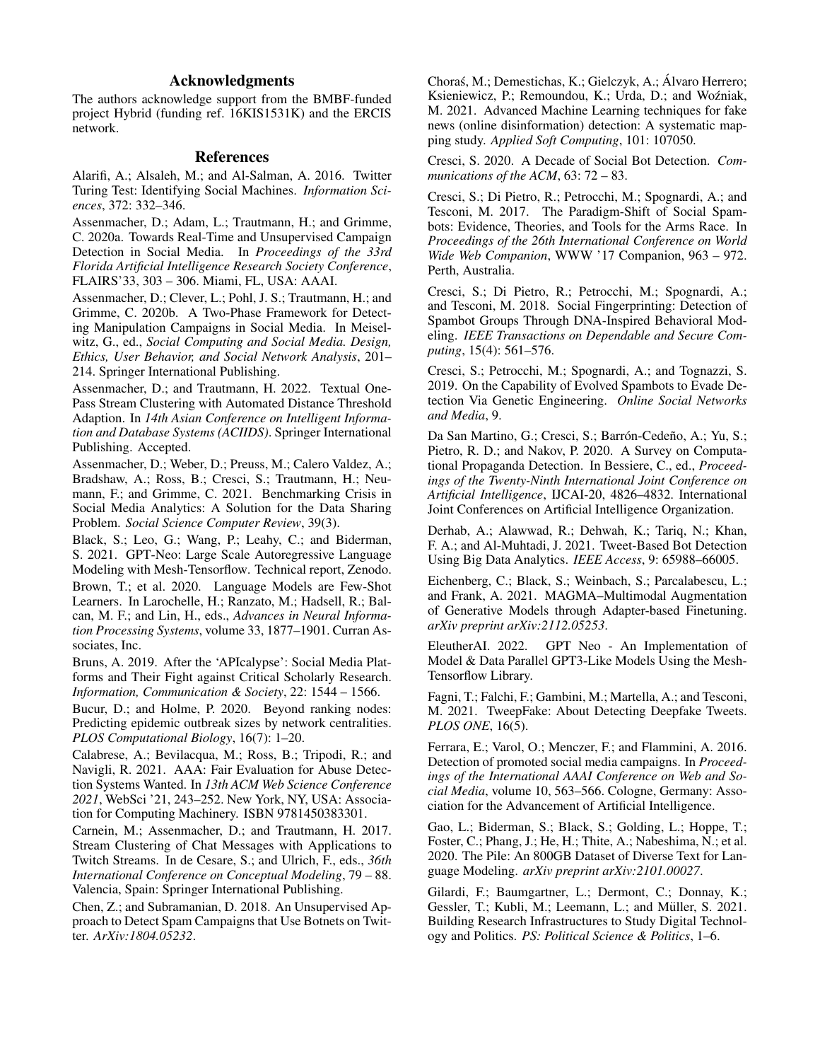# Acknowledgments

The authors acknowledge support from the BMBF-funded project Hybrid (funding ref. 16KIS1531K) and the ERCIS network.

## References

Alarifi, A.; Alsaleh, M.; and Al-Salman, A. 2016. Twitter Turing Test: Identifying Social Machines. *Information Sciences*, 372: 332–346.

Assenmacher, D.; Adam, L.; Trautmann, H.; and Grimme, C. 2020a. Towards Real-Time and Unsupervised Campaign Detection in Social Media. In *Proceedings of the 33rd Florida Artificial Intelligence Research Society Conference*, FLAIRS'33, 303 – 306. Miami, FL, USA: AAAI.

Assenmacher, D.; Clever, L.; Pohl, J. S.; Trautmann, H.; and Grimme, C. 2020b. A Two-Phase Framework for Detecting Manipulation Campaigns in Social Media. In Meiselwitz, G., ed., *Social Computing and Social Media. Design, Ethics, User Behavior, and Social Network Analysis*, 201– 214. Springer International Publishing.

Assenmacher, D.; and Trautmann, H. 2022. Textual One-Pass Stream Clustering with Automated Distance Threshold Adaption. In *14th Asian Conference on Intelligent Information and Database Systems (ACIIDS)*. Springer International Publishing. Accepted.

Assenmacher, D.; Weber, D.; Preuss, M.; Calero Valdez, A.; Bradshaw, A.; Ross, B.; Cresci, S.; Trautmann, H.; Neumann, F.; and Grimme, C. 2021. Benchmarking Crisis in Social Media Analytics: A Solution for the Data Sharing Problem. *Social Science Computer Review*, 39(3).

Black, S.; Leo, G.; Wang, P.; Leahy, C.; and Biderman, S. 2021. GPT-Neo: Large Scale Autoregressive Language Modeling with Mesh-Tensorflow. Technical report, Zenodo. Brown, T.; et al. 2020. Language Models are Few-Shot Learners. In Larochelle, H.; Ranzato, M.; Hadsell, R.; Balcan, M. F.; and Lin, H., eds., *Advances in Neural Information Processing Systems*, volume 33, 1877–1901. Curran Associates, Inc.

Bruns, A. 2019. After the 'APIcalypse': Social Media Platforms and Their Fight against Critical Scholarly Research. *Information, Communication & Society*, 22: 1544 – 1566.

Bucur, D.; and Holme, P. 2020. Beyond ranking nodes: Predicting epidemic outbreak sizes by network centralities. *PLOS Computational Biology*, 16(7): 1–20.

Calabrese, A.; Bevilacqua, M.; Ross, B.; Tripodi, R.; and Navigli, R. 2021. AAA: Fair Evaluation for Abuse Detection Systems Wanted. In *13th ACM Web Science Conference 2021*, WebSci '21, 243–252. New York, NY, USA: Association for Computing Machinery. ISBN 9781450383301.

Carnein, M.; Assenmacher, D.; and Trautmann, H. 2017. Stream Clustering of Chat Messages with Applications to Twitch Streams. In de Cesare, S.; and Ulrich, F., eds., *36th International Conference on Conceptual Modeling*, 79 – 88. Valencia, Spain: Springer International Publishing.

Chen, Z.; and Subramanian, D. 2018. An Unsupervised Approach to Detect Spam Campaigns that Use Botnets on Twitter. *ArXiv:1804.05232*.

Choraś, M.; Demestichas, K.; Gielczyk, A.; Álvaro Herrero; Ksieniewicz, P.; Remoundou, K.; Urda, D.; and Woźniak, M. 2021. Advanced Machine Learning techniques for fake news (online disinformation) detection: A systematic mapping study. *Applied Soft Computing*, 101: 107050.

Cresci, S. 2020. A Decade of Social Bot Detection. *Communications of the ACM*, 63: 72 – 83.

Cresci, S.; Di Pietro, R.; Petrocchi, M.; Spognardi, A.; and Tesconi, M. 2017. The Paradigm-Shift of Social Spambots: Evidence, Theories, and Tools for the Arms Race. In *Proceedings of the 26th International Conference on World Wide Web Companion*, WWW '17 Companion, 963 – 972. Perth, Australia.

Cresci, S.; Di Pietro, R.; Petrocchi, M.; Spognardi, A.; and Tesconi, M. 2018. Social Fingerprinting: Detection of Spambot Groups Through DNA-Inspired Behavioral Modeling. *IEEE Transactions on Dependable and Secure Computing*, 15(4): 561–576.

Cresci, S.; Petrocchi, M.; Spognardi, A.; and Tognazzi, S. 2019. On the Capability of Evolved Spambots to Evade Detection Via Genetic Engineering. *Online Social Networks and Media*, 9.

Da San Martino, G.; Cresci, S.; Barrón-Cedeño, A.; Yu, S.; Pietro, R. D.; and Nakov, P. 2020. A Survey on Computational Propaganda Detection. In Bessiere, C., ed., *Proceedings of the Twenty-Ninth International Joint Conference on Artificial Intelligence*, IJCAI-20, 4826–4832. International Joint Conferences on Artificial Intelligence Organization.

Derhab, A.; Alawwad, R.; Dehwah, K.; Tariq, N.; Khan, F. A.; and Al-Muhtadi, J. 2021. Tweet-Based Bot Detection Using Big Data Analytics. *IEEE Access*, 9: 65988–66005.

Eichenberg, C.; Black, S.; Weinbach, S.; Parcalabescu, L.; and Frank, A. 2021. MAGMA–Multimodal Augmentation of Generative Models through Adapter-based Finetuning. *arXiv preprint arXiv:2112.05253*.

EleutherAI. 2022. GPT Neo - An Implementation of Model & Data Parallel GPT3-Like Models Using the Mesh-Tensorflow Library.

Fagni, T.; Falchi, F.; Gambini, M.; Martella, A.; and Tesconi, M. 2021. TweepFake: About Detecting Deepfake Tweets. *PLOS ONE*, 16(5).

Ferrara, E.; Varol, O.; Menczer, F.; and Flammini, A. 2016. Detection of promoted social media campaigns. In *Proceedings of the International AAAI Conference on Web and Social Media*, volume 10, 563–566. Cologne, Germany: Association for the Advancement of Artificial Intelligence.

Gao, L.; Biderman, S.; Black, S.; Golding, L.; Hoppe, T.; Foster, C.; Phang, J.; He, H.; Thite, A.; Nabeshima, N.; et al. 2020. The Pile: An 800GB Dataset of Diverse Text for Language Modeling. *arXiv preprint arXiv:2101.00027*.

Gilardi, F.; Baumgartner, L.; Dermont, C.; Donnay, K.; Gessler, T.; Kubli, M.; Leemann, L.; and Müller, S. 2021. Building Research Infrastructures to Study Digital Technology and Politics. *PS: Political Science & Politics*, 1–6.